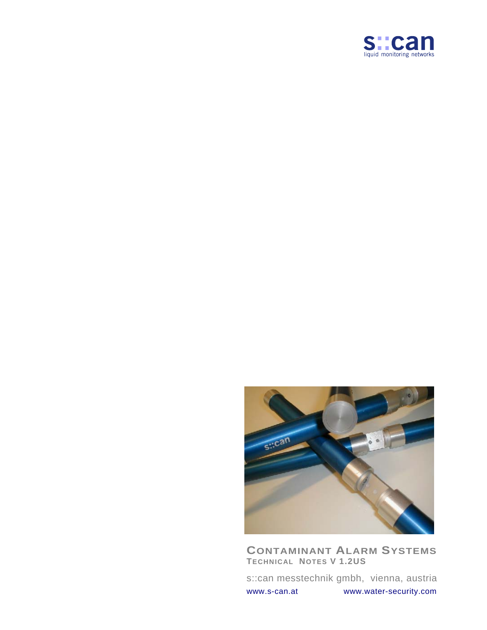



**CONTAMINANT ALARM SYSTEMS TECHNICAL NOTES V 1.2US**

s::can messtechnik gmbh, vienna, austria [www.s-can.at](http://www.s-can.at/) www.water-security.com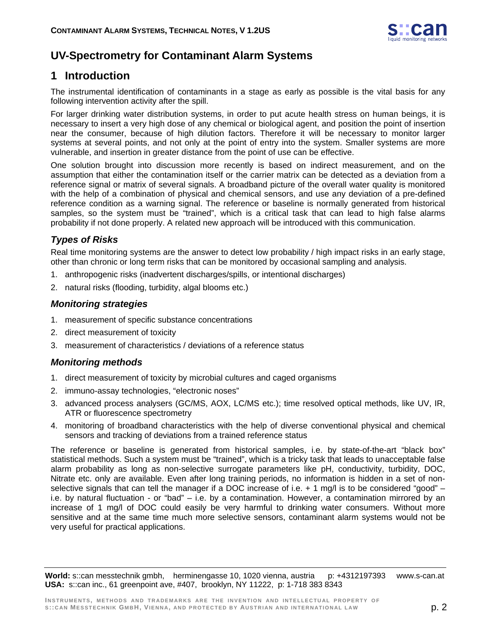

# **UV-Spectrometry for Contaminant Alarm Systems**

# **1 Introduction**

The instrumental identification of contaminants in a stage as early as possible is the vital basis for any following intervention activity after the spill.

For larger drinking water distribution systems, in order to put acute health stress on human beings, it is necessary to insert a very high dose of any chemical or biological agent, and position the point of insertion near the consumer, because of high dilution factors. Therefore it will be necessary to monitor larger systems at several points, and not only at the point of entry into the system. Smaller systems are more vulnerable, and insertion in greater distance from the point of use can be effective.

One solution brought into discussion more recently is based on indirect measurement, and on the assumption that either the contamination itself or the carrier matrix can be detected as a deviation from a reference signal or matrix of several signals. A broadband picture of the overall water quality is monitored with the help of a combination of physical and chemical sensors, and use any deviation of a pre-defined reference condition as a warning signal. The reference or baseline is normally generated from historical samples, so the system must be "trained", which is a critical task that can lead to high false alarms probability if not done properly. A related new approach will be introduced with this communication.

## *Types of Risks*

Real time monitoring systems are the answer to detect low probability / high impact risks in an early stage, other than chronic or long term risks that can be monitored by occasional sampling and analysis.

- 1. anthropogenic risks (inadvertent discharges/spills, or intentional discharges)
- 2. natural risks (flooding, turbidity, algal blooms etc.)

### *Monitoring strategies*

- 1. measurement of specific substance concentrations
- 2. direct measurement of toxicity
- 3. measurement of characteristics / deviations of a reference status

### *Monitoring methods*

- 1. direct measurement of toxicity by microbial cultures and caged organisms
- 2. immuno-assay technologies, "electronic noses"
- 3. advanced process analysers (GC/MS, AOX, LC/MS etc.); time resolved optical methods, like UV, IR, ATR or fluorescence spectrometry
- 4. monitoring of broadband characteristics with the help of diverse conventional physical and chemical sensors and tracking of deviations from a trained reference status

The reference or baseline is generated from historical samples, i.e. by state-of-the-art "black box" statistical methods. Such a system must be "trained", which is a tricky task that leads to unacceptable false alarm probability as long as non-selective surrogate parameters like pH, conductivity, turbidity, DOC, Nitrate etc. only are available. Even after long training periods, no information is hidden in a set of nonselective signals that can tell the manager if a DOC increase of i.e. + 1 mg/l is to be considered "good" – i.e. by natural fluctuation - or "bad" – i.e. by a contamination. However, a contamination mirrored by an increase of 1 mg/l of DOC could easily be very harmful to drinking water consumers. Without more sensitive and at the same time much more selective sensors, contaminant alarm systems would not be very useful for practical applications.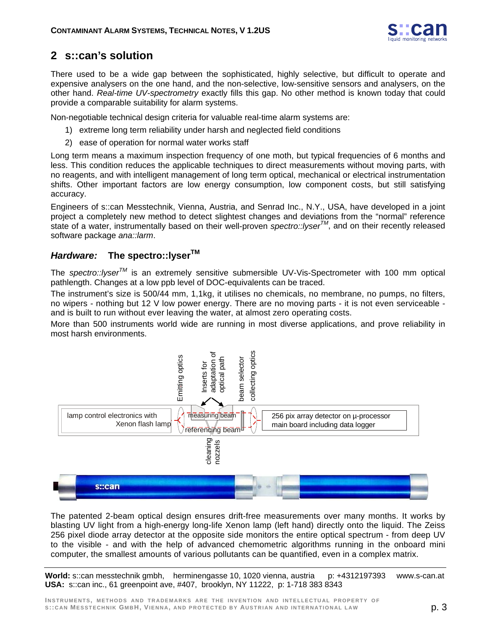

# **2 s::can's solution**

There used to be a wide gap between the sophisticated, highly selective, but difficult to operate and expensive analysers on the one hand, and the non-selective, low-sensitive sensors and analysers, on the other hand. *Real-time UV-spectrometry* exactly fills this gap. No other method is known today that could provide a comparable suitability for alarm systems.

Non-negotiable technical design criteria for valuable real-time alarm systems are:

- 1) extreme long term reliability under harsh and neglected field conditions
- 2) ease of operation for normal water works staff

Long term means a maximum inspection frequency of one moth, but typical frequencies of 6 months and less. This condition reduces the applicable techniques to direct measurements without moving parts, with no reagents, and with intelligent management of long term optical, mechanical or electrical instrumentation shifts. Other important factors are low energy consumption, low component costs, but still satisfying accuracy.

Engineers of s::can Messtechnik, Vienna, Austria, and Senrad Inc., N.Y., USA, have developed in a joint project a completely new method to detect slightest changes and deviations from the "normal" reference state of a water, instrumentally based on their well-proven *spectro::lyserTM*, and on their recently released software package *ana::larm*.

## *Hardware:* **The spectro::lyserTM**

The *spectro::lyserTM* is an extremely sensitive submersible UV-Vis-Spectrometer with 100 mm optical pathlength. Changes at a low ppb level of DOC-equivalents can be traced.

The instrument's size is 500/44 mm, 1,1kg, it utilises no chemicals, no membrane, no pumps, no filters, no wipers - nothing but 12 V low power energy. There are no moving parts - it is not even serviceable and is built to run without ever leaving the water, at almost zero operating costs.

More than 500 instruments world wide are running in most diverse applications, and prove reliability in most harsh environments.



The patented 2-beam optical design ensures drift-free measurements over many months. It works by blasting UV light from a high-energy long-life Xenon lamp (left hand) directly onto the liquid. The Zeiss 256 pixel diode array detector at the opposite side monitors the entire optical spectrum - from deep UV to the visible - and with the help of advanced chemometric algorithms running in the onboard mini computer, the smallest amounts of various pollutants can be quantified, even in a complex matrix.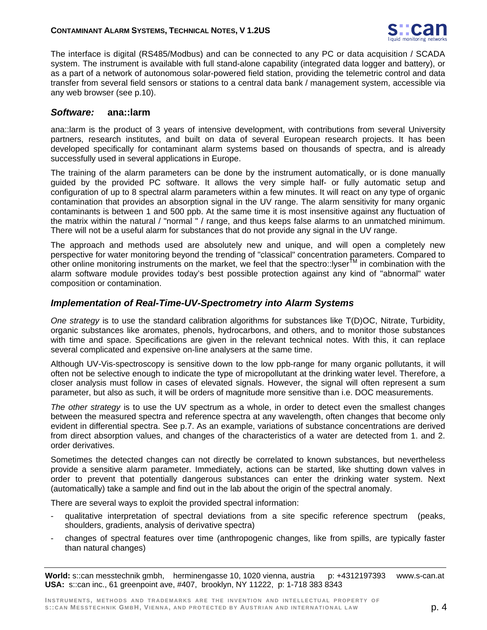

The interface is digital (RS485/Modbus) and can be connected to any PC or data acquisition / SCADA system. The instrument is available with full stand-alone capability (integrated data logger and battery), or as a part of a network of autonomous solar-powered field station, providing the telemetric control and data transfer from several field sensors or stations to a central data bank / management system, accessible via any web browser (see p.10).

### *Software:* **ana::larm**

ana::larm is the product of 3 years of intensive development, with contributions from several University partners, research institutes, and built on data of several European research projects. It has been developed specifically for contaminant alarm systems based on thousands of spectra, and is already successfully used in several applications in Europe.

The training of the alarm parameters can be done by the instrument automatically, or is done manually guided by the provided PC software. It allows the very simple half- or fully automatic setup and configuration of up to 8 spectral alarm parameters within a few minutes. It will react on any type of organic contamination that provides an absorption signal in the UV range. The alarm sensitivity for many organic contaminants is between 1 and 500 ppb. At the same time it is most insensitive against any fluctuation of the matrix within the natural / "normal " / range, and thus keeps false alarms to an unmatched minimum. There will not be a useful alarm for substances that do not provide any signal in the UV range.

The approach and methods used are absolutely new and unique, and will open a completely new perspective for water monitoring beyond the trending of "classical" concentration parameters. Compared to other online monitoring instruments on the market, we feel that the spectro::lyserTM in combination with the alarm software module provides today's best possible protection against any kind of "abnormal" water composition or contamination.

### *Implementation of Real-Time-UV-Spectrometry into Alarm Systems*

*One strategy* is to use the standard calibration algorithms for substances like T(D)OC, Nitrate, Turbidity, organic substances like aromates, phenols, hydrocarbons, and others, and to monitor those substances with time and space. Specifications are given in the relevant technical notes. With this, it can replace several complicated and expensive on-line analysers at the same time.

Although UV-Vis-spectroscopy is sensitive down to the low ppb-range for many organic pollutants, it will often not be selective enough to indicate the type of micropollutant at the drinking water level. Therefore, a closer analysis must follow in cases of elevated signals. However, the signal will often represent a sum parameter, but also as such, it will be orders of magnitude more sensitive than i.e. DOC measurements.

*The other strategy* is to use the UV spectrum as a whole, in order to detect even the smallest changes between the measured spectra and reference spectra at any wavelength, often changes that become only evident in differential spectra. See p.7. As an example, variations of substance concentrations are derived from direct absorption values, and changes of the characteristics of a water are detected from 1. and 2. order derivatives.

Sometimes the detected changes can not directly be correlated to known substances, but nevertheless provide a sensitive alarm parameter. Immediately, actions can be started, like shutting down valves in order to prevent that potentially dangerous substances can enter the drinking water system. Next (automatically) take a sample and find out in the lab about the origin of the spectral anomaly.

There are several ways to exploit the provided spectral information:

- qualitative interpretation of spectral deviations from a site specific reference spectrum (peaks, shoulders, gradients, analysis of derivative spectra)
- changes of spectral features over time (anthropogenic changes, like from spills, are typically faster than natural changes)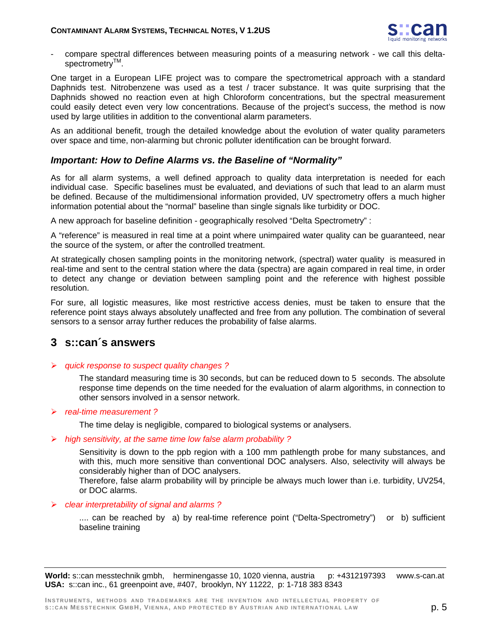

- compare spectral differences between measuring points of a measuring network - we call this deltaspectrometry<sup>™</sup>.

One target in a European LIFE project was to compare the spectrometrical approach with a standard Daphnids test. Nitrobenzene was used as a test / tracer substance. It was quite surprising that the Daphnids showed no reaction even at high Chloroform concentrations, but the spectral measurement could easily detect even very low concentrations. Because of the project's success, the method is now used by large utilities in addition to the conventional alarm parameters.

As an additional benefit, trough the detailed knowledge about the evolution of water quality parameters over space and time, non-alarming but chronic polluter identification can be brought forward.

### *Important: How to Define Alarms vs. the Baseline of "Normality"*

As for all alarm systems, a well defined approach to quality data interpretation is needed for each individual case. Specific baselines must be evaluated, and deviations of such that lead to an alarm must be defined. Because of the multidimensional information provided, UV spectrometry offers a much higher information potential about the "normal" baseline than single signals like turbidity or DOC.

A new approach for baseline definition - geographically resolved "Delta Spectrometry" :

A "reference" is measured in real time at a point where unimpaired water quality can be guaranteed, near the source of the system, or after the controlled treatment.

At strategically chosen sampling points in the monitoring network, (spectral) water quality is measured in real-time and sent to the central station where the data (spectra) are again compared in real time, in order to detect any change or deviation between sampling point and the reference with highest possible resolution.

For sure, all logistic measures, like most restrictive access denies, must be taken to ensure that the reference point stays always absolutely unaffected and free from any pollution. The combination of several sensors to a sensor array further reduces the probability of false alarms.

## **3 s::can´s answers**

¾ *quick response to suspect quality changes ?*

The standard measuring time is 30 seconds, but can be reduced down to 5 seconds. The absolute response time depends on the time needed for the evaluation of alarm algorithms, in connection to other sensors involved in a sensor network.

#### ¾ *real-time measurement ?*

The time delay is negligible, compared to biological systems or analysers.

#### ¾ *high sensitivity, at the same time low false alarm probability ?*

Sensitivity is down to the ppb region with a 100 mm pathlength probe for many substances, and with this, much more sensitive than conventional DOC analysers. Also, selectivity will always be considerably higher than of DOC analysers.

Therefore, false alarm probability will by principle be always much lower than i.e. turbidity, UV254, or DOC alarms.

#### ¾ *clear interpretability of signal and alarms ?*

.... can be reached by a) by real-time reference point ("Delta-Spectrometry") or b) sufficient baseline training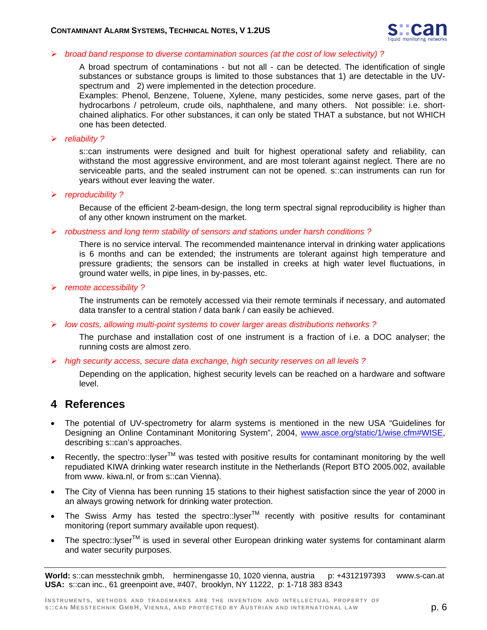

#### ¾ *broad band response to diverse contamination sources (at the cost of low selectivity) ?*

A broad spectrum of contaminations - but not all - can be detected. The identification of single substances or substance groups is limited to those substances that 1) are detectable in the UVspectrum and 2) were implemented in the detection procedure.

Examples: Phenol, Benzene, Toluene, Xylene, many pesticides, some nerve gases, part of the hydrocarbons / petroleum, crude oils, naphthalene, and many others. Not possible: i.e. shortchained aliphatics. For other substances, it can only be stated THAT a substance, but not WHICH one has been detected.

#### ¾ *reliability ?*

s::can instruments were designed and built for highest operational safety and reliability, can withstand the most aggressive environment, and are most tolerant against neglect. There are no serviceable parts, and the sealed instrument can not be opened. s::can instruments can run for years without ever leaving the water.

¾ *reproducibility ?* 

Because of the efficient 2-beam-design, the long term spectral signal reproducibility is higher than of any other known instrument on the market.

¾ *robustness and long term stability of sensors and stations under harsh conditions ?* 

There is no service interval. The recommended maintenance interval in drinking water applications is 6 months and can be extended; the instruments are tolerant against high temperature and pressure gradients; the sensors can be installed in creeks at high water level fluctuations, in ground water wells, in pipe lines, in by-passes, etc.

¾ *remote accessibility ?* 

The instruments can be remotely accessed via their remote terminals if necessary, and automated data transfer to a central station / data bank / can easily be achieved.

¾ *low costs, allowing multi-point systems to cover larger areas distributions networks ?*

The purchase and installation cost of one instrument is a fraction of i.e. a DOC analyser; the running costs are almost zero.

¾ *high security access, secure data exchange, high security reserves on all levels ?*

Depending on the application, highest security levels can be reached on a hardware and software level.

## **4 References**

- The potential of UV-spectrometry for alarm systems is mentioned in the new USA "Guidelines for Designing an Online Contaminant Monitoring System", 2004, www.asce.org/static/1/wise.cfm#WISE, describing s::can's approaches.
- Recently, the spectro:: $\mu$ ver<sup>TM</sup> was tested with positive results for contaminant monitoring by the well repudiated KIWA drinking water research institute in the Netherlands (Report BTO 2005.002, available from www. kiwa.nl, or from s::can Vienna).
- The City of Vienna has been running 15 stations to their highest satisfaction since the year of 2000 in an always growing network for drinking water protection.
- The Swiss Army has tested the spectro::lyser<sup>TM</sup> recently with positive results for contaminant monitoring (report summary available upon request).
- The spectro::lyser<sup>TM</sup> is used in several other European drinking water systems for contaminant alarm and water security purposes.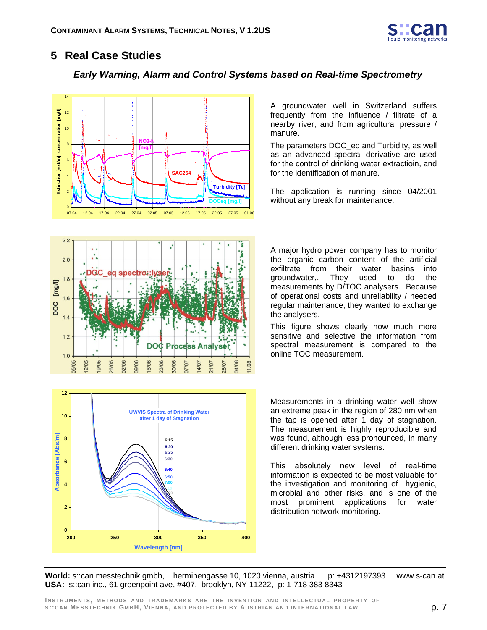

# **5 Real Case Studies**

### *Early Warning, Alarm and Control Systems based on Real-time Spectrometry*



A groundwater well in Switzerland suffers frequently from the influence / filtrate of a nearby river, and from agricultural pressure / manure.

The parameters DOC\_eq and Turbidity, as well as an advanced spectral derivative are used for the control of drinking water extractioin, and for the identification of manure.

The application is running since 04/2001 without any break for maintenance.



A major hydro power company has to monitor the organic carbon content of the artificial exfiltrate from their water basins into groundwater,. They used to do the measurements by D/TOC analysers. Because of operational costs and unreliablilty / needed regular maintenance, they wanted to exchange the analysers.

This figure shows clearly how much more sensitive and selective the information from spectral measurement is compared to the online TOC measurement.



Measurements in a drinking water well show an extreme peak in the region of 280 nm when the tap is opened after 1 day of stagnation. The measurement is highly reproducible and was found, although less pronounced, in many different drinking water systems.

This absolutely new level of real-time information is expected to be most valuable for the investigation and monitoring of hygienic, microbial and other risks, and is one of the most prominent applications for water distribution network monitoring.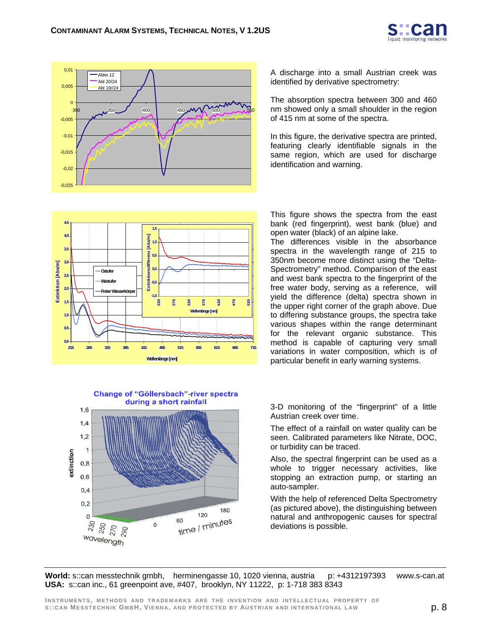



A discharge into a small Austrian creek was identified by derivative spectrometry:

The absorption spectra between 300 and 460 nm showed only a small shoulder in the region of 415 nm at some of the spectra.

In this figure, the derivative spectra are printed, featuring clearly identifiable signals in the same region, which are used for discharge identification and warning.



This figure shows the spectra from the east bank (red fingerprint), west bank (blue) and open water (black) of an alpine lake.

The differences visible in the absorbance spectra in the wavelength range of 215 to 350nm become more distinct using the "Delta-Spectrometry" method. Comparison of the east and west bank spectra to the fingerprint of the free water body, serving as a reference, will yield the difference (delta) spectra shown in the upper right corner of the graph above. Due to differing substance groups, the spectra take various shapes within the range determinant for the relevant organic substance. This method is capable of capturing very small variations in water composition, which is of particular benefit in early warning systems.





3-D monitoring of the "fingerprint" of a little Austrian creek over time.

The effect of a rainfall on water quality can be seen. Calibrated parameters like Nitrate, DOC, or turbidity can be traced.

Also, the spectral fingerprint can be used as a whole to trigger necessary activities, like stopping an extraction pump, or starting an auto-sampler.

With the help of referenced Delta Spectrometry (as pictured above), the distinguishing between natural and anthropogenic causes for spectral deviations is possible.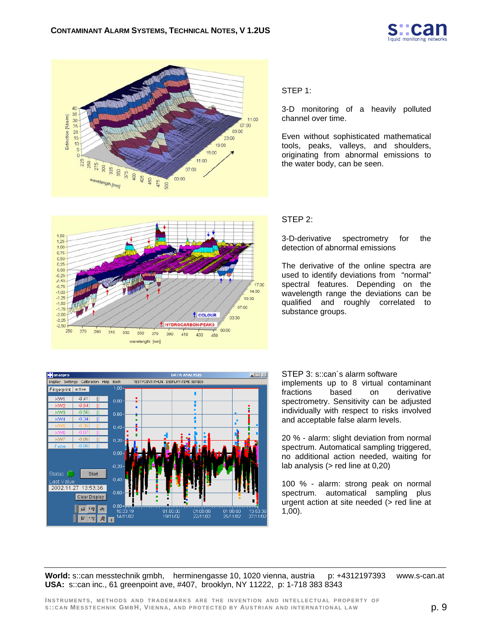



#### STEP 1:

3-D monitoring of a heavily polluted channel over time.

Even without sophisticated mathematical tools, peaks, valleys, and shoulders, originating from abnormal emissions to the water body, can be seen.



#### STEP 2:

3-D-derivative spectrometry for the detection of abnormal emissions

The derivative of the online spectra are used to identify deviations from "normal" spectral features. Depending on the wavelength range the deviations can be qualified and roughly correlated to substance groups.



STEP 3: s::can's alarm software implements up to 8 virtual contaminant fractions based on derivative spectrometry. Sensitivity can be adjusted individually with respect to risks involved and acceptable false alarm levels.

20 % - alarm: slight deviation from normal spectrum. Automatical sampling triggered, no additional action needed, waiting for lab analysis (> red line at 0,20)

100 % - alarm: strong peak on normal spectrum. automatical sampling plus urgent action at site needed (> red line at 1,00).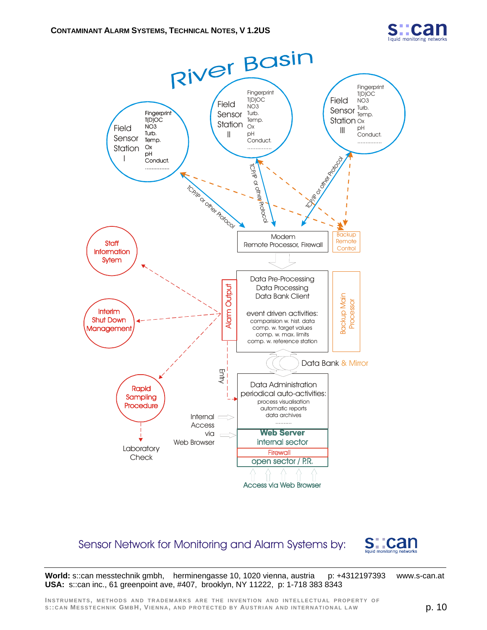



## Sensor Network for Monitoring and Alarm Systems by: